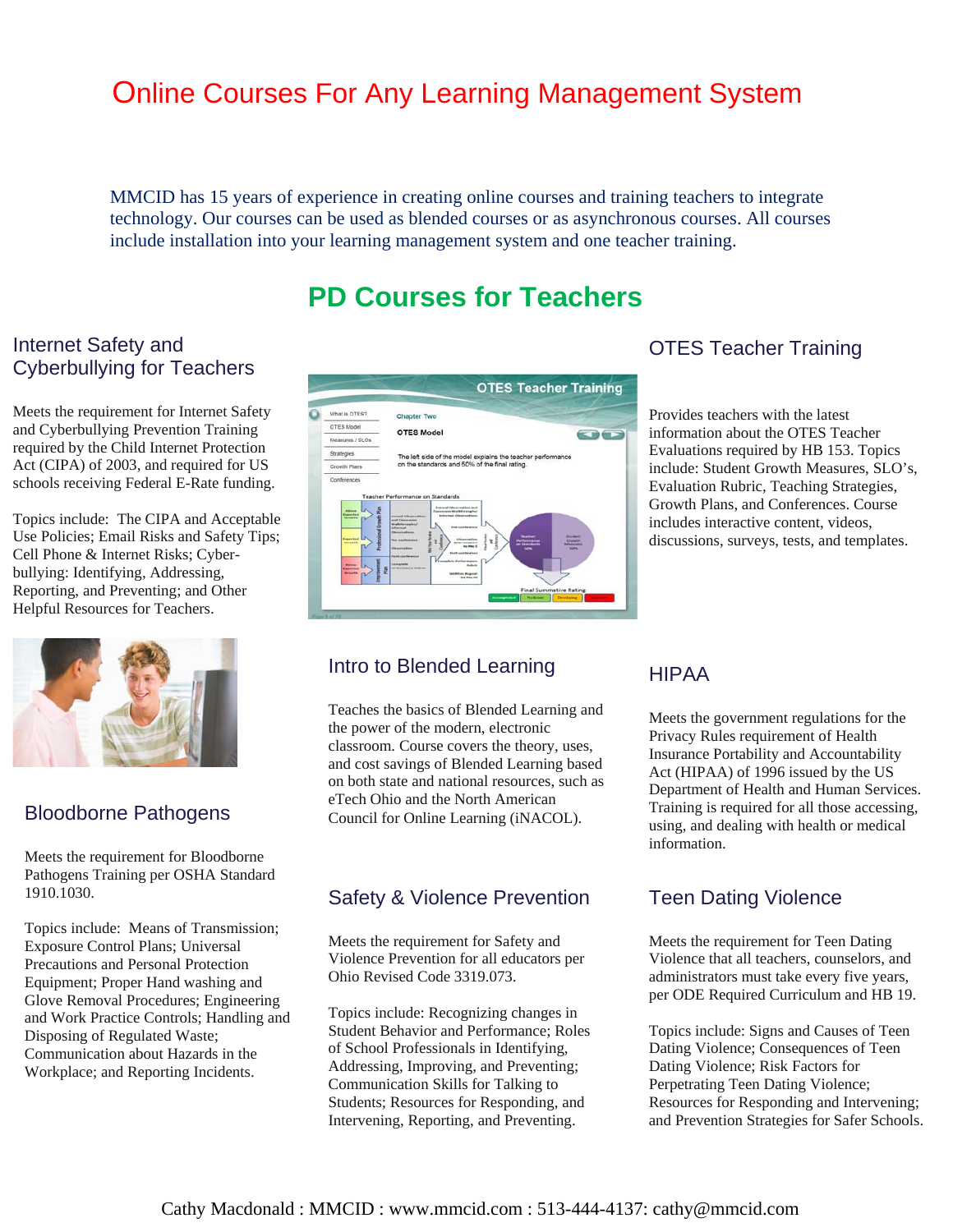# Online Courses For Any Learning Management System

MMCID has 15 years of experience in creating online courses and training teachers to integrate technology. Our courses can be used as blended courses or as asynchronous courses. All courses include installation into your learning management system and one teacher training.

# **PD Courses for Teachers**

### Internet Safety and Cyberbullying for Teachers

Meets the requirement for Internet Safety and Cyberbullying Prevention Training required by the Child Internet Protection Act (CIPA) of 2003, and required for US schools receiving Federal E-Rate funding.

Topics include: The CIPA and Acceptable Use Policies; Email Risks and Safety Tips; Cell Phone & Internet Risks; Cyberbullying: Identifying, Addressing, Reporting, and Preventing; and Other Helpful Resources for Teachers.



#### Bloodborne Pathogens

Meets the requirement for Bloodborne Pathogens Training per OSHA Standard 1910.1030.

Topics include: Means of Transmission; Exposure Control Plans; Universal Precautions and Personal Protection Equipment; Proper Hand washing and Glove Removal Procedures; Engineering and Work Practice Controls; Handling and Disposing of Regulated Waste; Communication about Hazards in the Workplace; and Reporting Incidents.



# OTES Teacher Training

Provides teachers with the latest information about the OTES Teacher Evaluations required by HB 153. Topics include: Student Growth Measures, SLO's, Evaluation Rubric, Teaching Strategies, Growth Plans, and Conferences. Course includes interactive content, videos, discussions, surveys, tests, and templates.

#### Intro to Blended Learning

Teaches the basics of Blended Learning and the power of the modern, electronic classroom. Course covers the theory, uses, and cost savings of Blended Learning based on both state and national resources, such as eTech Ohio and the North American Council for Online Learning (iNACOL).

#### Safety & Violence Prevention

Meets the requirement for Safety and Violence Prevention for all educators per Ohio Revised Code 3319.073.

Topics include: Recognizing changes in Student Behavior and Performance; Roles of School Professionals in Identifying, Addressing, Improving, and Preventing; Communication Skills for Talking to Students; Resources for Responding, and Intervening, Reporting, and Preventing.

#### HIPAA

Meets the government regulations for the Privacy Rules requirement of Health Insurance Portability and Accountability Act (HIPAA) of 1996 issued by the US Department of Health and Human Services. Training is required for all those accessing, using, and dealing with health or medical information.

#### Teen Dating Violence

Meets the requirement for Teen Dating Violence that all teachers, counselors, and administrators must take every five years, per ODE Required Curriculum and HB 19.

Topics include: Signs and Causes of Teen Dating Violence; Consequences of Teen Dating Violence; Risk Factors for Perpetrating Teen Dating Violence; Resources for Responding and Intervening; and Prevention Strategies for Safer Schools.